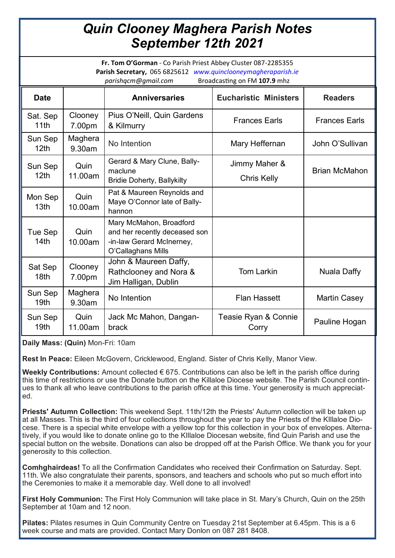## *Quin Clooney Maghera Parish Notes September 12th 2021*

**Fr. Tom O'Gorman** - Co Parish Priest Abbey Cluster 087-2285355 **Parish Secretary,** 065 6825612 *www.quinclooneymagheraparish.ie parishqcm@gmail.com* Broadcasting on FM **107.9** mhz

| on ongem کا announce m<br>------ <b>----</b> |                   |                                                                                                             |                               |                      |
|----------------------------------------------|-------------------|-------------------------------------------------------------------------------------------------------------|-------------------------------|----------------------|
| <b>Date</b>                                  |                   | <b>Anniversaries</b>                                                                                        | <b>Eucharistic Ministers</b>  | <b>Readers</b>       |
| Sat. Sep<br>11th                             | Clooney<br>7.00pm | Pius O'Neill, Quin Gardens<br>& Kilmurry                                                                    | <b>Frances Earls</b>          | <b>Frances Earls</b> |
| Sun Sep<br>12 <sub>th</sub>                  | Maghera<br>9.30am | No Intention                                                                                                | Mary Heffernan                | John O'Sullivan      |
| Sun Sep<br>12 <sub>th</sub>                  | Quin<br>11.00am   | Gerard & Mary Clune, Bally-                                                                                 | Jimmy Maher &                 | <b>Brian McMahon</b> |
|                                              |                   | maclune<br><b>Bridie Doherty, Ballykilty</b>                                                                | <b>Chris Kelly</b>            |                      |
| Mon Sep<br>13 <sub>th</sub>                  | Quin<br>10.00am   | Pat & Maureen Reynolds and<br>Maye O'Connor late of Bally-<br>hannon                                        |                               |                      |
| Tue Sep<br>14 <sub>th</sub>                  | Quin<br>10.00am   | Mary McMahon, Broadford<br>and her recently deceased son<br>-in-law Gerard McInerney,<br>O'Callaghans Mills |                               |                      |
| Sat Sep<br>18 <sub>th</sub>                  | Clooney<br>7.00pm | John & Maureen Daffy,<br>Rathclooney and Nora &<br>Jim Halligan, Dublin                                     | <b>Tom Larkin</b>             | Nuala Daffy          |
| Sun Sep<br>19 <sub>th</sub>                  | Maghera<br>9.30am | No Intention                                                                                                | <b>Flan Hassett</b>           | <b>Martin Casey</b>  |
| Sun Sep<br>19th                              | Quin<br>11.00am   | Jack Mc Mahon, Dangan-<br>brack                                                                             | Teasie Ryan & Connie<br>Corry | Pauline Hogan        |

**Daily Mass: (Quin)** Mon-Fri: 10am

**Rest In Peace:** Eileen McGovern, Cricklewood, England. Sister of Chris Kelly, Manor View.

**Weekly Contributions:** Amount collected € 675. Contributions can also be left in the parish office during this time of restrictions or use the Donate button on the Killaloe Diocese website. The Parish Council continues to thank all who leave contributions to the parish office at this time. Your generosity is much appreciated.

**Priests' Autumn Collection:** This weekend Sept. 11th/12th the Priests' Autumn collection will be taken up at all Masses. This is the third of four collections throughout the year to pay the Priests of the KIllaloe Diocese. There is a special white envelope with a yellow top for this collection in your box of envelopes. Alternatively, if you would like to donate online go to the KIllaloe Diocesan website, find Quin Parish and use the special button on the website. Donations can also be dropped off at the Parish Office. We thank you for your generosity to this collection.

**Comhghairdeas!** To all the Confirmation Candidates who received their Confirmation on Saturday. Sept. 11th. We also congratulate their parents, sponsors, and teachers and schools who put so much effort into the Ceremonies to make it a memorable day. Well done to all involved!

**First Holy Communion:** The First Holy Communion will take place in St. Mary's Church, Quin on the 25th September at 10am and 12 noon.

**Pilates:** Pilates resumes in Quin Community Centre on Tuesday 21st September at 6.45pm. This is a 6 week course and mats are provided. Contact Mary Donlon on 087 281 8408.